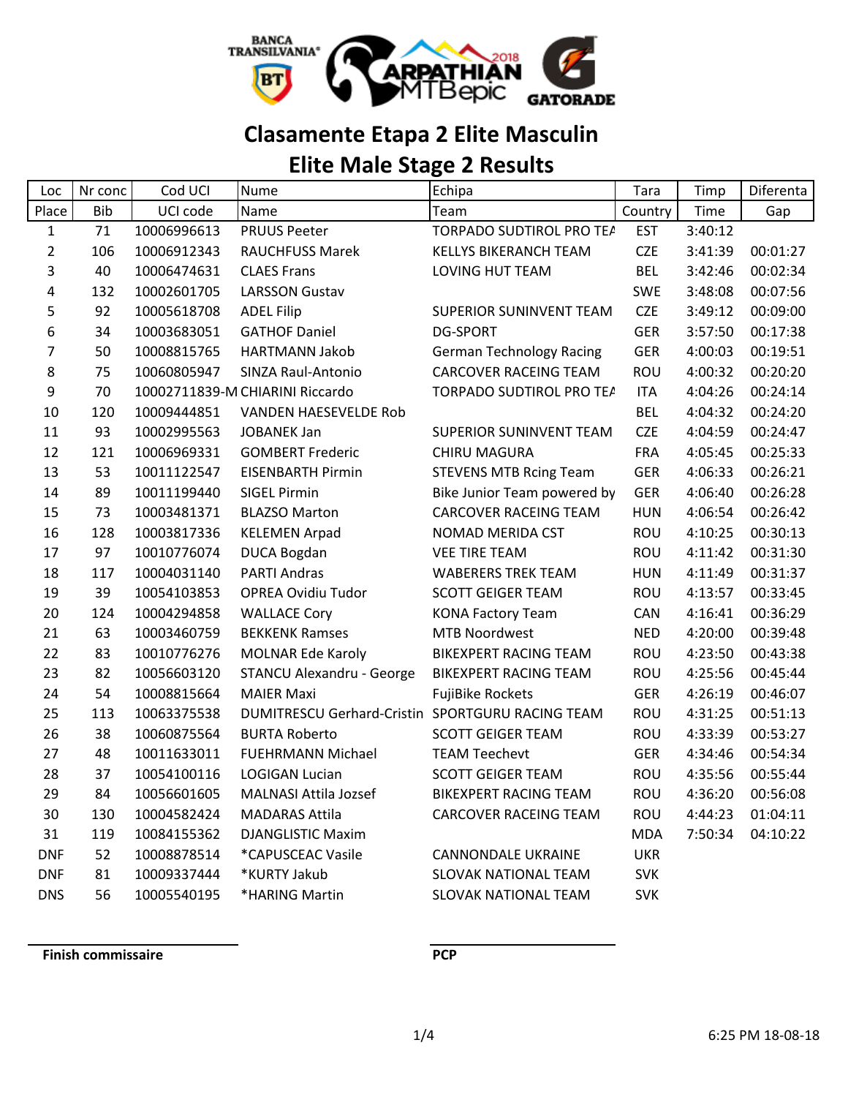

# **Clasamente Etapa 2 Elite Masculin**

# **Elite Male Stage 2 Results**

| Loc            | Nr conc    | Cod UCI     | <b>Nume</b>                                      | Echipa                          | Tara       | Timp    | Diferenta |
|----------------|------------|-------------|--------------------------------------------------|---------------------------------|------------|---------|-----------|
| Place          | <b>Bib</b> | UCI code    | Name                                             | Team                            | Country    | Time    | Gap       |
| $\mathbf{1}$   | 71         | 10006996613 | <b>PRUUS Peeter</b>                              | TORPADO SUDTIROL PRO TEA        | <b>EST</b> | 3:40:12 |           |
| $\overline{2}$ | 106        | 10006912343 | RAUCHFUSS Marek                                  | <b>KELLYS BIKERANCH TEAM</b>    | <b>CZE</b> | 3:41:39 | 00:01:27  |
| 3              | 40         | 10006474631 | <b>CLAES Frans</b>                               | <b>LOVING HUT TEAM</b>          | <b>BEL</b> | 3:42:46 | 00:02:34  |
| 4              | 132        | 10002601705 | <b>LARSSON Gustav</b>                            |                                 | <b>SWE</b> | 3:48:08 | 00:07:56  |
| 5              | 92         | 10005618708 | <b>ADEL Filip</b>                                | SUPERIOR SUNINVENT TEAM         | <b>CZE</b> | 3:49:12 | 00:09:00  |
| 6              | 34         | 10003683051 | <b>GATHOF Daniel</b>                             | <b>DG-SPORT</b>                 | <b>GER</b> | 3:57:50 | 00:17:38  |
| 7              | 50         | 10008815765 | HARTMANN Jakob                                   | <b>German Technology Racing</b> | <b>GER</b> | 4:00:03 | 00:19:51  |
| 8              | 75         | 10060805947 | SINZA Raul-Antonio                               | <b>CARCOVER RACEING TEAM</b>    | <b>ROU</b> | 4:00:32 | 00:20:20  |
| 9              | 70         |             | 10002711839-M CHIARINI Riccardo                  | TORPADO SUDTIROL PRO TEA        | <b>ITA</b> | 4:04:26 | 00:24:14  |
| 10             | 120        | 10009444851 | <b>VANDEN HAESEVELDE Rob</b>                     |                                 | <b>BEL</b> | 4:04:32 | 00:24:20  |
| 11             | 93         | 10002995563 | <b>JOBANEK Jan</b>                               | SUPERIOR SUNINVENT TEAM         | <b>CZE</b> | 4:04:59 | 00:24:47  |
| 12             | 121        | 10006969331 | <b>GOMBERT Frederic</b>                          | <b>CHIRU MAGURA</b>             | <b>FRA</b> | 4:05:45 | 00:25:33  |
| 13             | 53         | 10011122547 | <b>EISENBARTH Pirmin</b>                         | <b>STEVENS MTB Rcing Team</b>   | <b>GER</b> | 4:06:33 | 00:26:21  |
| 14             | 89         | 10011199440 | <b>SIGEL Pirmin</b>                              | Bike Junior Team powered by     | GER        | 4:06:40 | 00:26:28  |
| 15             | 73         | 10003481371 | <b>BLAZSO Marton</b>                             | <b>CARCOVER RACEING TEAM</b>    | <b>HUN</b> | 4:06:54 | 00:26:42  |
| 16             | 128        | 10003817336 | <b>KELEMEN Arpad</b>                             | NOMAD MERIDA CST                | <b>ROU</b> | 4:10:25 | 00:30:13  |
| 17             | 97         | 10010776074 | DUCA Bogdan                                      | <b>VEE TIRE TEAM</b>            | <b>ROU</b> | 4:11:42 | 00:31:30  |
| 18             | 117        | 10004031140 | <b>PARTI Andras</b>                              | <b>WABERERS TREK TEAM</b>       | <b>HUN</b> | 4:11:49 | 00:31:37  |
| 19             | 39         | 10054103853 | <b>OPREA Ovidiu Tudor</b>                        | <b>SCOTT GEIGER TEAM</b>        | ROU        | 4:13:57 | 00:33:45  |
| 20             | 124        | 10004294858 | <b>WALLACE Cory</b>                              | <b>KONA Factory Team</b>        | CAN        | 4:16:41 | 00:36:29  |
| 21             | 63         | 10003460759 | <b>BEKKENK Ramses</b>                            | <b>MTB Noordwest</b>            | <b>NED</b> | 4:20:00 | 00:39:48  |
| 22             | 83         | 10010776276 | <b>MOLNAR Ede Karoly</b>                         | <b>BIKEXPERT RACING TEAM</b>    | <b>ROU</b> | 4:23:50 | 00:43:38  |
| 23             | 82         | 10056603120 | <b>STANCU Alexandru - George</b>                 | <b>BIKEXPERT RACING TEAM</b>    | ROU        | 4:25:56 | 00:45:44  |
| 24             | 54         | 10008815664 | <b>MAIER Maxi</b>                                | <b>FujiBike Rockets</b>         | <b>GER</b> | 4:26:19 | 00:46:07  |
| 25             | 113        | 10063375538 | DUMITRESCU Gerhard-Cristin SPORTGURU RACING TEAM |                                 | ROU        | 4:31:25 | 00:51:13  |
| 26             | 38         | 10060875564 | <b>BURTA Roberto</b>                             | <b>SCOTT GEIGER TEAM</b>        | <b>ROU</b> | 4:33:39 | 00:53:27  |
| 27             | 48         | 10011633011 | <b>FUEHRMANN Michael</b>                         | <b>TEAM Teechevt</b>            | <b>GER</b> | 4:34:46 | 00:54:34  |
| 28             | 37         | 10054100116 | <b>LOGIGAN Lucian</b>                            | <b>SCOTT GEIGER TEAM</b>        | ROU        | 4:35:56 | 00:55:44  |
| 29             | 84         | 10056601605 | <b>MALNASI Attila Jozsef</b>                     | <b>BIKEXPERT RACING TEAM</b>    | <b>ROU</b> | 4:36:20 | 00:56:08  |
| 30             | 130        | 10004582424 | <b>MADARAS Attila</b>                            | CARCOVER RACEING TEAM           | ROU        | 4:44:23 | 01:04:11  |
| 31             | 119        | 10084155362 | <b>DJANGLISTIC Maxim</b>                         |                                 | <b>MDA</b> | 7:50:34 | 04:10:22  |
| <b>DNF</b>     | 52         | 10008878514 | *CAPUSCEAC Vasile                                | <b>CANNONDALE UKRAINE</b>       | <b>UKR</b> |         |           |
| <b>DNF</b>     | 81         | 10009337444 | *KURTY Jakub                                     | SLOVAK NATIONAL TEAM            | <b>SVK</b> |         |           |
| <b>DNS</b>     | 56         | 10005540195 | *HARING Martin                                   | SLOVAK NATIONAL TEAM            | <b>SVK</b> |         |           |

**Finish commissaire PCP**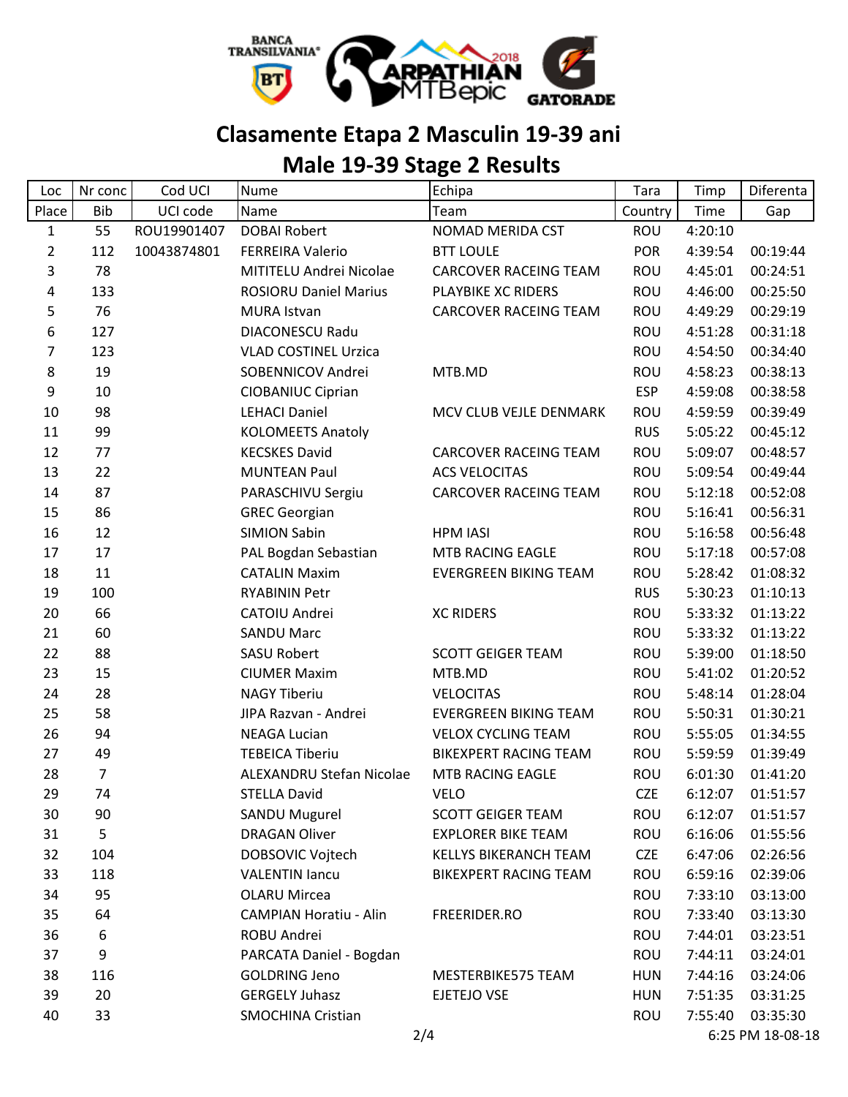

## **Clasamente Etapa 2 Masculin 19-39 ani**

## **Male 19-39 Stage 2 Results**

| Loc            | Nr conc    | Cod UCI     | <b>Nume</b>                   | Echipa                       | Tara       | Timp    | Diferenta        |
|----------------|------------|-------------|-------------------------------|------------------------------|------------|---------|------------------|
| Place          | <b>Bib</b> | UCI code    | Name                          | Team                         | Country    | Time    | Gap              |
| $\mathbf{1}$   | 55         | ROU19901407 | <b>DOBAI Robert</b>           | NOMAD MERIDA CST             | <b>ROU</b> | 4:20:10 |                  |
| $\overline{2}$ | 112        | 10043874801 | <b>FERREIRA Valerio</b>       | <b>BTT LOULE</b>             | <b>POR</b> | 4:39:54 | 00:19:44         |
| 3              | 78         |             | MITITELU Andrei Nicolae       | <b>CARCOVER RACEING TEAM</b> | ROU        | 4:45:01 | 00:24:51         |
| 4              | 133        |             | <b>ROSIORU Daniel Marius</b>  | PLAYBIKE XC RIDERS           | ROU        | 4:46:00 | 00:25:50         |
| 5              | 76         |             | <b>MURA Istvan</b>            | CARCOVER RACEING TEAM        | ROU        | 4:49:29 | 00:29:19         |
| 6              | 127        |             | <b>DIACONESCU Radu</b>        |                              | <b>ROU</b> | 4:51:28 | 00:31:18         |
| $\overline{7}$ | 123        |             | <b>VLAD COSTINEL Urzica</b>   |                              | ROU        | 4:54:50 | 00:34:40         |
| 8              | 19         |             | SOBENNICOV Andrei             | MTB.MD                       | ROU        | 4:58:23 | 00:38:13         |
| 9              | 10         |             | CIOBANIUC Ciprian             |                              | <b>ESP</b> | 4:59:08 | 00:38:58         |
| 10             | 98         |             | <b>LEHACI Daniel</b>          | MCV CLUB VEJLE DENMARK       | <b>ROU</b> | 4:59:59 | 00:39:49         |
| 11             | 99         |             | <b>KOLOMEETS Anatoly</b>      |                              | <b>RUS</b> | 5:05:22 | 00:45:12         |
| 12             | 77         |             | <b>KECSKES David</b>          | <b>CARCOVER RACEING TEAM</b> | ROU        | 5:09:07 | 00:48:57         |
| 13             | 22         |             | <b>MUNTEAN Paul</b>           | <b>ACS VELOCITAS</b>         | ROU        | 5:09:54 | 00:49:44         |
| 14             | 87         |             | PARASCHIVU Sergiu             | CARCOVER RACEING TEAM        | ROU        | 5:12:18 | 00:52:08         |
| 15             | 86         |             | <b>GREC Georgian</b>          |                              | ROU        | 5:16:41 | 00:56:31         |
| 16             | 12         |             | <b>SIMION Sabin</b>           | <b>HPM IASI</b>              | <b>ROU</b> | 5:16:58 | 00:56:48         |
| 17             | 17         |             | PAL Bogdan Sebastian          | MTB RACING EAGLE             | ROU        | 5:17:18 | 00:57:08         |
| 18             | 11         |             | <b>CATALIN Maxim</b>          | <b>EVERGREEN BIKING TEAM</b> | ROU        | 5:28:42 | 01:08:32         |
| 19             | 100        |             | <b>RYABININ Petr</b>          |                              | <b>RUS</b> | 5:30:23 | 01:10:13         |
| 20             | 66         |             | CATOIU Andrei                 | <b>XC RIDERS</b>             | ROU        | 5:33:32 | 01:13:22         |
| 21             | 60         |             | <b>SANDU Marc</b>             |                              | ROU        | 5:33:32 | 01:13:22         |
| 22             | 88         |             | <b>SASU Robert</b>            | <b>SCOTT GEIGER TEAM</b>     | ROU        | 5:39:00 | 01:18:50         |
| 23             | 15         |             | <b>CIUMER Maxim</b>           | MTB.MD                       | ROU        | 5:41:02 | 01:20:52         |
| 24             | 28         |             | <b>NAGY Tiberiu</b>           | <b>VELOCITAS</b>             | ROU        | 5:48:14 | 01:28:04         |
| 25             | 58         |             | JIPA Razvan - Andrei          | <b>EVERGREEN BIKING TEAM</b> | <b>ROU</b> | 5:50:31 | 01:30:21         |
| 26             | 94         |             | <b>NEAGA Lucian</b>           | <b>VELOX CYCLING TEAM</b>    | ROU        | 5:55:05 | 01:34:55         |
| 27             | 49         |             | <b>TEBEICA Tiberiu</b>        | <b>BIKEXPERT RACING TEAM</b> | ROU        | 5:59:59 | 01:39:49         |
| 28             | 7          |             | ALEXANDRU Stefan Nicolae      | MTB RACING EAGLE             | <b>ROU</b> | 6:01:30 | 01:41:20         |
| 29             | 74         |             | <b>STELLA David</b>           | <b>VELO</b>                  | <b>CZE</b> | 6:12:07 | 01:51:57         |
| 30             | 90         |             | SANDU Mugurel                 | <b>SCOTT GEIGER TEAM</b>     | <b>ROU</b> | 6:12:07 | 01:51:57         |
| 31             | 5          |             | <b>DRAGAN Oliver</b>          | <b>EXPLORER BIKE TEAM</b>    | <b>ROU</b> | 6:16:06 | 01:55:56         |
| 32             | 104        |             | DOBSOVIC Vojtech              | <b>KELLYS BIKERANCH TEAM</b> | <b>CZE</b> | 6:47:06 | 02:26:56         |
| 33             | 118        |             | <b>VALENTIN lancu</b>         | <b>BIKEXPERT RACING TEAM</b> | ROU        | 6:59:16 | 02:39:06         |
| 34             | 95         |             | <b>OLARU Mircea</b>           |                              | <b>ROU</b> | 7:33:10 | 03:13:00         |
| 35             | 64         |             | <b>CAMPIAN Horatiu - Alin</b> | FREERIDER.RO                 | ROU        | 7:33:40 | 03:13:30         |
| 36             | 6          |             | ROBU Andrei                   |                              | <b>ROU</b> | 7:44:01 | 03:23:51         |
| 37             | 9          |             | PARCATA Daniel - Bogdan       |                              | <b>ROU</b> | 7:44:11 | 03:24:01         |
| 38             | 116        |             | <b>GOLDRING Jeno</b>          | MESTERBIKE575 TEAM           | <b>HUN</b> | 7:44:16 | 03:24:06         |
| 39             | 20         |             | <b>GERGELY Juhasz</b>         | EJETEJO VSE                  | <b>HUN</b> | 7:51:35 | 03:31:25         |
| 40             | 33         |             | <b>SMOCHINA Cristian</b>      |                              | ROU        | 7:55:40 | 03:35:30         |
|                |            |             | 2/4                           |                              |            |         | 6:25 PM 18-08-18 |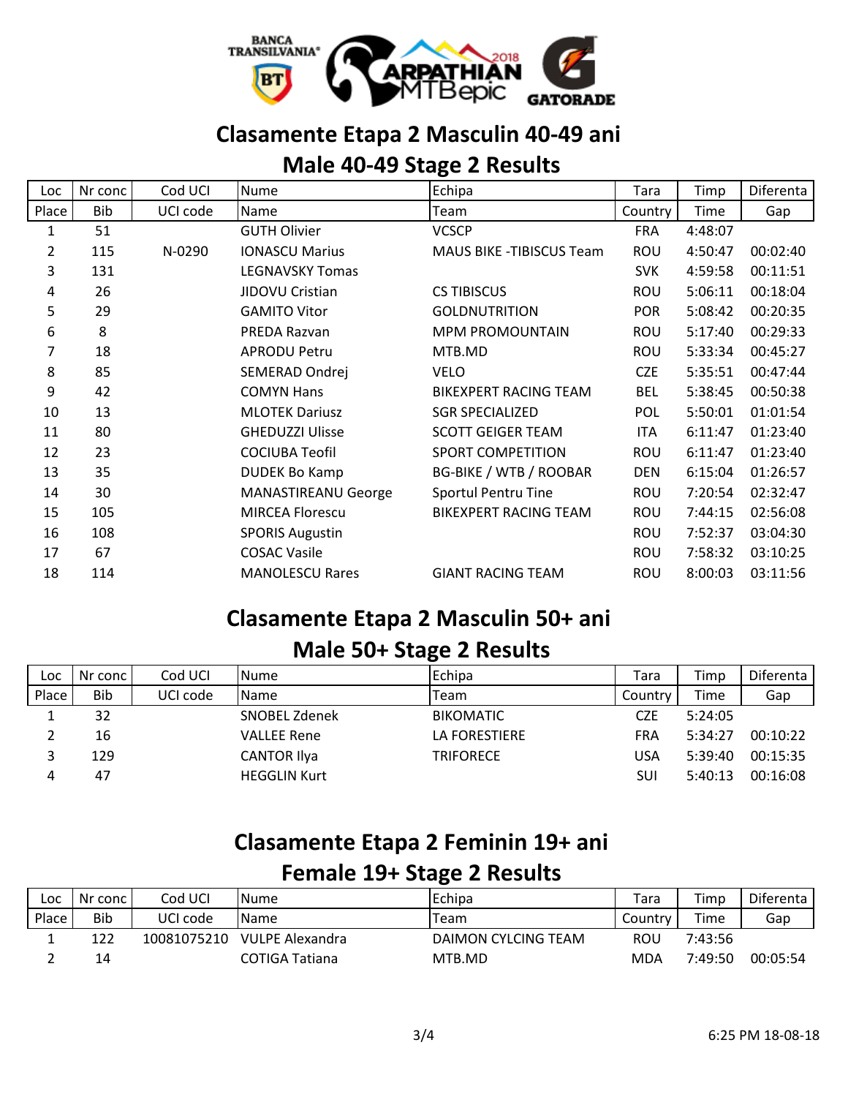

### **Clasamente Etapa 2 Masculin 40-49 ani**

### **Male 40-49 Stage 2 Results**

| Loc            | Nr conc | Cod UCI  | <b>Nume</b>                | Echipa                           | Tara       | Timp    | Diferenta |
|----------------|---------|----------|----------------------------|----------------------------------|------------|---------|-----------|
| Place          | Bib     | UCI code | Name                       | Team                             | Country    | Time    | Gap       |
| 1              | 51      |          | <b>GUTH Olivier</b>        | <b>VCSCP</b>                     | <b>FRA</b> | 4:48:07 |           |
| $\overline{2}$ | 115     | N-0290   | <b>IONASCU Marius</b>      | <b>MAUS BIKE - TIBISCUS Team</b> | <b>ROU</b> | 4:50:47 | 00:02:40  |
| 3              | 131     |          | <b>LEGNAVSKY Tomas</b>     |                                  | <b>SVK</b> | 4:59:58 | 00:11:51  |
| 4              | 26      |          | JIDOVU Cristian            | <b>CS TIBISCUS</b>               | <b>ROU</b> | 5:06:11 | 00:18:04  |
| 5              | 29      |          | <b>GAMITO Vitor</b>        | <b>GOLDNUTRITION</b>             | <b>POR</b> | 5:08:42 | 00:20:35  |
| 6              | 8       |          | PREDA Razvan               | <b>MPM PROMOUNTAIN</b>           | <b>ROU</b> | 5:17:40 | 00:29:33  |
| 7              | 18      |          | <b>APRODU Petru</b>        | MTB.MD                           | <b>ROU</b> | 5:33:34 | 00:45:27  |
| 8              | 85      |          | SEMERAD Ondrej             | <b>VELO</b>                      | <b>CZE</b> | 5:35:51 | 00:47:44  |
| 9              | 42      |          | <b>COMYN Hans</b>          | <b>BIKEXPERT RACING TEAM</b>     | <b>BEL</b> | 5:38:45 | 00:50:38  |
| 10             | 13      |          | <b>MLOTEK Dariusz</b>      | <b>SGR SPECIALIZED</b>           | POL        | 5:50:01 | 01:01:54  |
| 11             | 80      |          | <b>GHEDUZZI Ulisse</b>     | <b>SCOTT GEIGER TEAM</b>         | <b>ITA</b> | 6:11:47 | 01:23:40  |
| 12             | 23      |          | <b>COCIUBA Teofil</b>      | <b>SPORT COMPETITION</b>         | <b>ROU</b> | 6:11:47 | 01:23:40  |
| 13             | 35      |          | <b>DUDEK Bo Kamp</b>       | <b>BG-BIKE / WTB / ROOBAR</b>    | <b>DEN</b> | 6:15:04 | 01:26:57  |
| 14             | 30      |          | <b>MANASTIREANU George</b> | Sportul Pentru Tine              | <b>ROU</b> | 7:20:54 | 02:32:47  |
| 15             | 105     |          | <b>MIRCEA Florescu</b>     | <b>BIKEXPERT RACING TEAM</b>     | ROU        | 7:44:15 | 02:56:08  |
| 16             | 108     |          | <b>SPORIS Augustin</b>     |                                  | ROU        | 7:52:37 | 03:04:30  |
| 17             | 67      |          | <b>COSAC Vasile</b>        |                                  | <b>ROU</b> | 7:58:32 | 03:10:25  |
| 18             | 114     |          | <b>MANOLESCU Rares</b>     | <b>GIANT RACING TEAM</b>         | <b>ROU</b> | 8:00:03 | 03:11:56  |

### **Clasamente Etapa 2 Masculin 50+ ani**

### **Male 50+ Stage 2 Results**

| Loc   | Nr conc l | Cod UCI  | <b>Nume</b>         | Echipa           | Tara    | Timp    | Diferenta |
|-------|-----------|----------|---------------------|------------------|---------|---------|-----------|
| Place | Bib       | UCI code | Name                | Team             | Country | Time    | Gap       |
| ᅩ     | 32        |          | SNOBEL Zdenek       | <b>BIKOMATIC</b> | CZE     | 5:24:05 |           |
|       | 16        |          | VALLEE Rene         | LA FORESTIERE    | FRA     | 5:34:27 | 00:10:22  |
| 3     | 129       |          | <b>CANTOR Ilya</b>  | TRIFORECE        | USA     | 5:39:40 | 00:15:35  |
| 4     | 47        |          | <b>HEGGLIN Kurt</b> |                  | SUI     | 5:40:13 | 00:16:08  |

## **Clasamente Etapa 2 Feminin 19+ ani Female 19+ Stage 2 Results**

| Loc   | Nr conc    | Cod UCI     | <b>Nume</b>     | <b>Echipa</b>       | Tara    | Timp    | Diferenta |
|-------|------------|-------------|-----------------|---------------------|---------|---------|-----------|
| Place | <b>Bib</b> | UCI code    | <b>I</b> Name   | Team                | Country | Time    | Gap       |
|       | 122        | 10081075210 | VULPE Alexandra | DAIMON CYLCING TEAM | ROU     | 7:43:56 |           |
|       | 14         |             | COTIGA Tatiana  | MTB.MD              | MDA     | 7:49:50 | 00:05:54  |